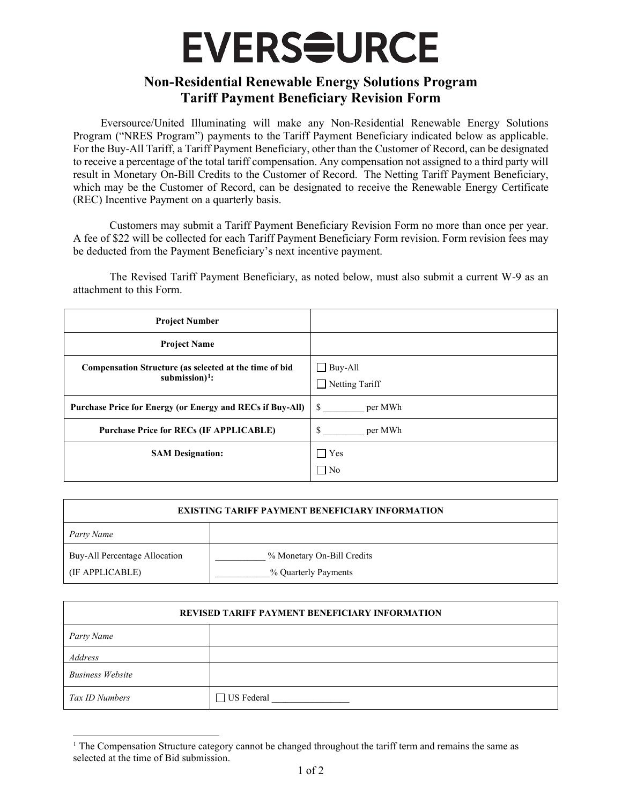## **EVERS<del>S</del>URCE**

## **Non-Residential Renewable Energy Solutions Program Tariff Payment Beneficiary Revision Form**

Eversource/United Illuminating will make any Non-Residential Renewable Energy Solutions Program ("NRES Program") payments to the Tariff Payment Beneficiary indicated below as applicable. For the Buy-All Tariff, a Tariff Payment Beneficiary, other than the Customer of Record, can be designated to receive a percentage of the total tariff compensation. Any compensation not assigned to a third party will result in Monetary On-Bill Credits to the Customer of Record. The Netting Tariff Payment Beneficiary, which may be the Customer of Record, can be designated to receive the Renewable Energy Certificate (REC) Incentive Payment on a quarterly basis.

Customers may submit a Tariff Payment Beneficiary Revision Form no more than once per year. A fee of \$22 will be collected for each Tariff Payment Beneficiary Form revision. Form revision fees may be deducted from the Payment Beneficiary's next incentive payment.

The Revised Tariff Payment Beneficiary, as noted below, must also submit a current W-9 as an attachment to this Form.

| <b>Project Number</b>                                                        |                                         |
|------------------------------------------------------------------------------|-----------------------------------------|
| <b>Project Name</b>                                                          |                                         |
| Compensation Structure (as selected at the time of bid<br>submission $)^1$ : | $\Box$ Buy-All<br>$\Box$ Netting Tariff |
| <b>Purchase Price for Energy (or Energy and RECs if Buy-All)</b>             | S<br>per MWh                            |
| <b>Purchase Price for RECs (IF APPLICABLE)</b>                               | \$<br>per MWh                           |
| <b>SAM Designation:</b>                                                      | $\Box$ Yes<br>$\Box$ No                 |

| <b>EXISTING TARIFF PAYMENT BENEFICIARY INFORMATION</b> |                                                    |  |
|--------------------------------------------------------|----------------------------------------------------|--|
| Party Name                                             |                                                    |  |
| Buy-All Percentage Allocation<br>(IF APPLICABLE)       | % Monetary On-Bill Credits<br>% Quarterly Payments |  |

| <b>REVISED TARIFF PAYMENT BENEFICIARY INFORMATION</b> |            |  |
|-------------------------------------------------------|------------|--|
| Party Name                                            |            |  |
| Address                                               |            |  |
| <b>Business Website</b>                               |            |  |
| Tax ID Numbers                                        | US Federal |  |

<span id="page-0-0"></span><sup>&</sup>lt;sup>1</sup> The Compensation Structure category cannot be changed throughout the tariff term and remains the same as selected at the time of Bid submission.